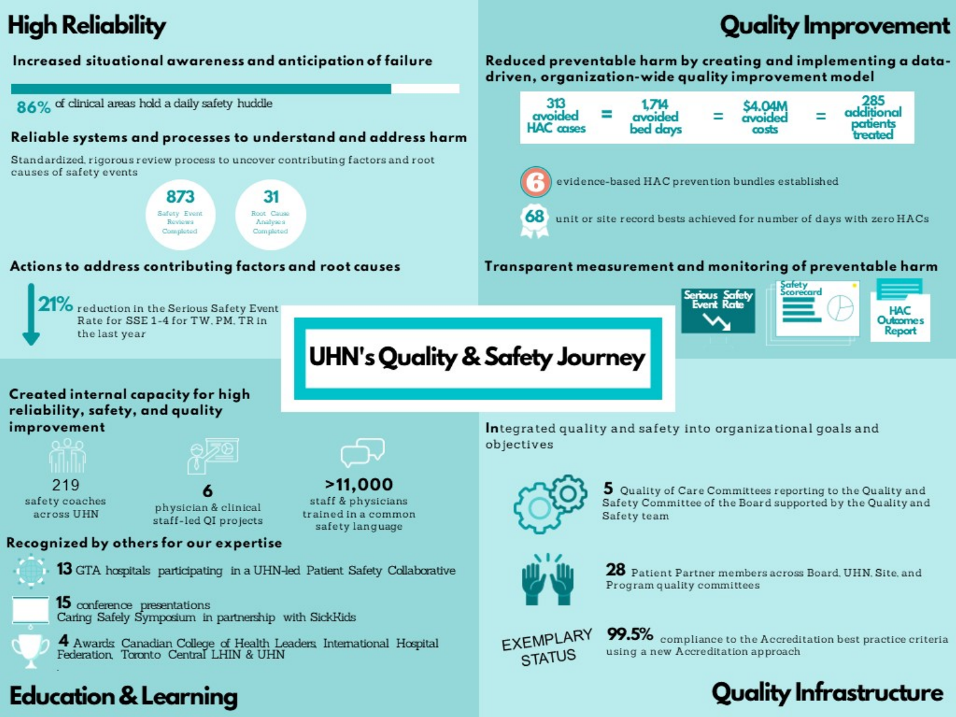## **High Reliability**

## **Quality Improvement**

### Increased situational awareness and anticipation of failure

86% of clinical areas hold a daily safety huddle

#### Reliable systems and processes to understand and address harm

Standardized, rigorous review process to uncover contributing factors and root causes of safety events

> 873 31 Safety Even Root Cause Reviews Analyses Completed Completed

#### Actions to address contributing factors and root causes



To reduction in the Serious Safety Event Rate for SSE 1-4 for TW, PM, TR in the last year

Reduced preventable harm by creating and implementing a datadriven, organization-wide quality improvement model



### Transparent measurement and monitoring of preventable harm



### **UHN's Quality & Safety Journey**

#### Created internal capacity for high reliability, safety, and quality improvement



219 safety coaches across UHN

physician & clinical staff-led QI projects

### Recognized by others for our expertise



13 GTA hospitals participating in a UHN-led Patient Safety Collaborative



15 conference presentations Caring Safely Symposium in partnership with SickKids



4 Awards Canadian College of Health Leaders, International Hospital Federation, Toronto Central LHIN & UHN

### **Education & Learning**



staff & physicians trained in a common safety language

Integrated quality and safety into organizational goals and objectives



5 Quality of Care Committees reporting to the Quality and Safety Committee of the Board supported by the Quality and Safety team



28 Patient Partner members across Board, UHN, Site, and Program quality committees



 $99.5\%$  compliance to the Accreditation best practice criteria using a new Accreditation approach

### **Quality Infrastructure**